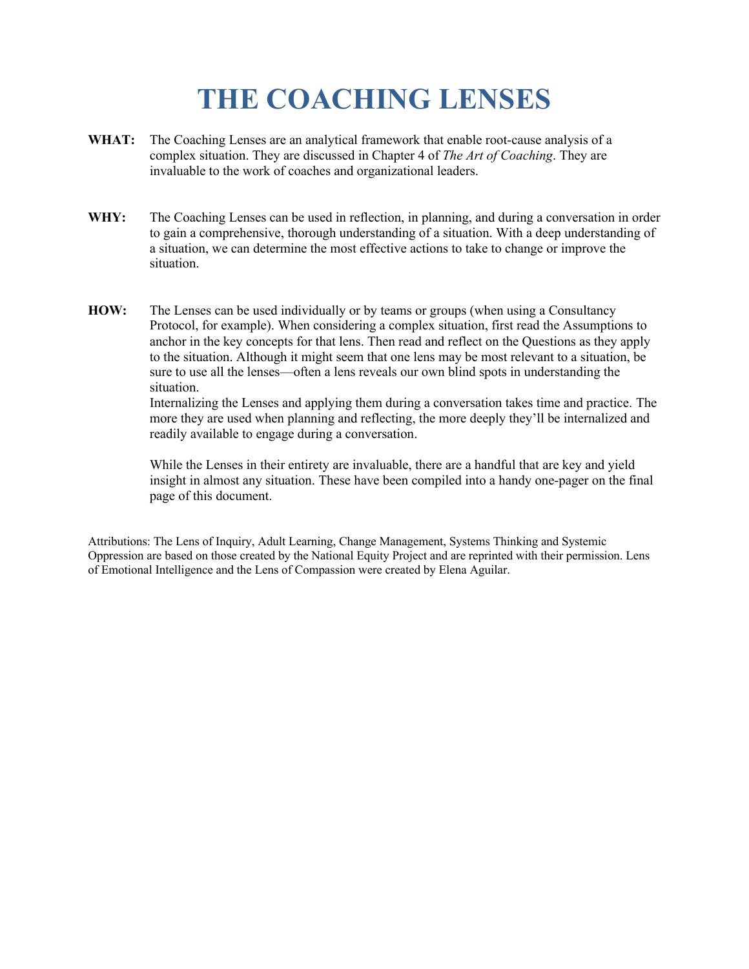- **WHAT:** The Coaching Lenses are an analytical framework that enable root-cause analysis of a complex situation. They are discussed in Chapter 4 of *The Art of Coaching*. They are invaluable to the work of coaches and organizational leaders.
- **WHY:** The Coaching Lenses can be used in reflection, in planning, and during a conversation in order to gain a comprehensive, thorough understanding of a situation. With a deep understanding of a situation, we can determine the most effective actions to take to change or improve the situation.
- **HOW:** The Lenses can be used individually or by teams or groups (when using a Consultancy Protocol, for example). When considering a complex situation, first read the Assumptions to anchor in the key concepts for that lens. Then read and reflect on the Questions as they apply to the situation. Although it might seem that one lens may be most relevant to a situation, be sure to use all the lenses—often a lens reveals our own blind spots in understanding the situation.

Internalizing the Lenses and applying them during a conversation takes time and practice. The more they are used when planning and reflecting, the more deeply they'll be internalized and readily available to engage during a conversation.

While the Lenses in their entirety are invaluable, there are a handful that are key and yield insight in almost any situation. These have been compiled into a handy one-pager on the final page of this document.

Attributions: The Lens of Inquiry, Adult Learning, Change Management, Systems Thinking and Systemic Oppression are based on those created by the National Equity Project and are reprinted with their permission. Lens of Emotional Intelligence and the Lens of Compassion were created by Elena Aguilar.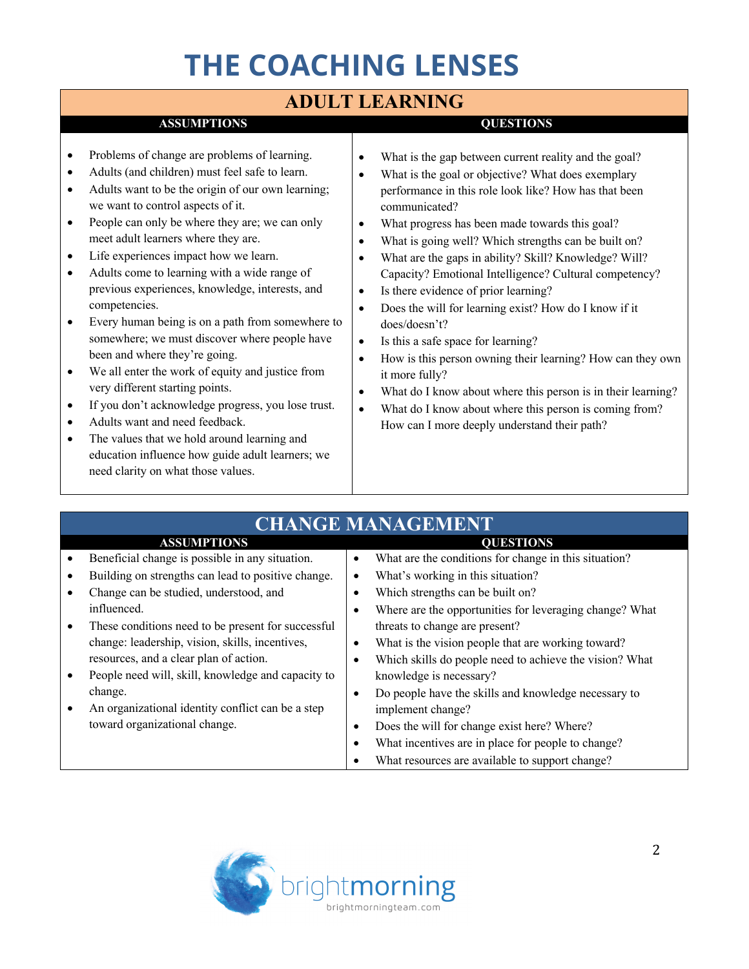## **ADULT LEARNING**

### **ASSUMPTIONS QUESTIONS**

- Problems of change are problems of learning.
- Adults (and children) must feel safe to learn.
- Adults want to be the origin of our own learning; we want to control aspects of it.
- People can only be where they are; we can only meet adult learners where they are.
- Life experiences impact how we learn.
- Adults come to learning with a wide range of previous experiences, knowledge, interests, and competencies.
- Every human being is on a path from somewhere to somewhere; we must discover where people have been and where they're going.
- We all enter the work of equity and justice from very different starting points.
- If you don't acknowledge progress, you lose trust.
- Adults want and need feedback.
- The values that we hold around learning and education influence how guide adult learners; we need clarity on what those values.
- What is the gap between current reality and the goal?
- What is the goal or objective? What does exemplary performance in this role look like? How has that been communicated?
- What progress has been made towards this goal?
- What is going well? Which strengths can be built on?
- What are the gaps in ability? Skill? Knowledge? Will? Capacity? Emotional Intelligence? Cultural competency?
- Is there evidence of prior learning?
- Does the will for learning exist? How do I know if it does/doesn't?
- Is this a safe space for learning?
- How is this person owning their learning? How can they own it more fully?
- What do I know about where this person is in their learning?
- What do I know about where this person is coming from? How can I more deeply understand their path?

### **CHANGE MANAGEMENT**

| <b>QUESTIONS</b>                                                     |
|----------------------------------------------------------------------|
| What are the conditions for change in this situation?<br>$\bullet$   |
| What's working in this situation?<br>$\bullet$                       |
| Which strengths can be built on?<br>$\bullet$                        |
| Where are the opportunities for leveraging change? What<br>$\bullet$ |
| threats to change are present?                                       |
| What is the vision people that are working toward?<br>$\bullet$      |
| Which skills do people need to achieve the vision? What              |
| knowledge is necessary?                                              |
| Do people have the skills and knowledge necessary to<br>$\bullet$    |
| implement change?                                                    |
| Does the will for change exist here? Where?<br>$\bullet$             |
| What incentives are in place for people to change?<br>$\bullet$      |
| What resources are available to support change?                      |
|                                                                      |

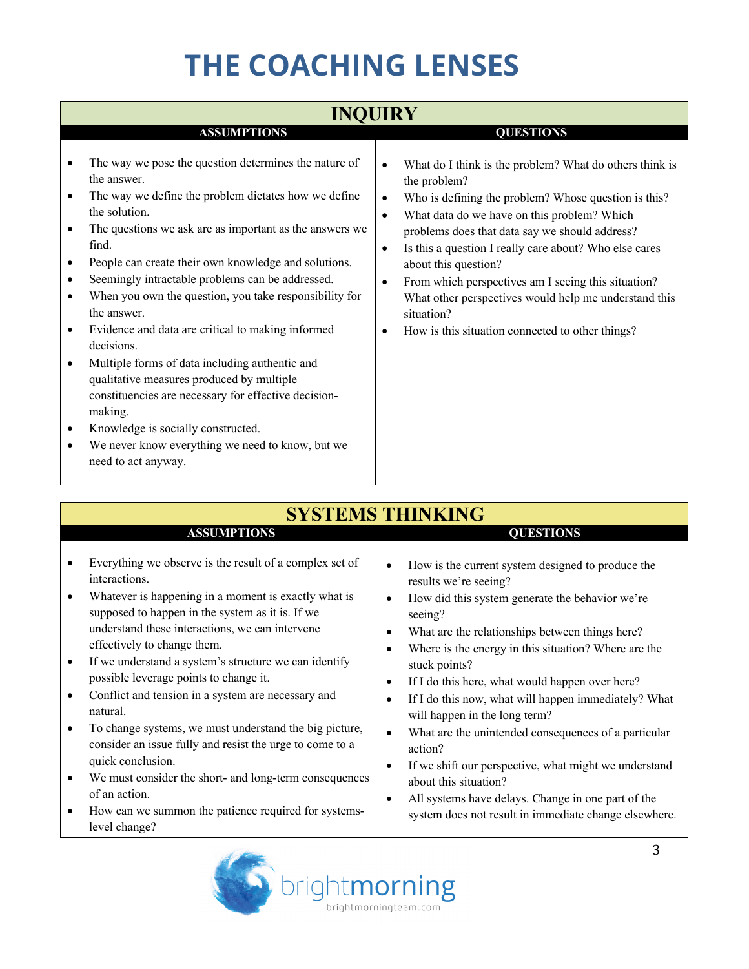| <b>UIRY</b><br><b>INO</b>                                                                                                                                                                                                                                                                                                                                                                                                                                                                                                                                                                                                                                                                                                                                                                                        |                                                                                                                                                                                                                                                                                                                                                                                                                                                                                                                                                                                    |  |  |  |
|------------------------------------------------------------------------------------------------------------------------------------------------------------------------------------------------------------------------------------------------------------------------------------------------------------------------------------------------------------------------------------------------------------------------------------------------------------------------------------------------------------------------------------------------------------------------------------------------------------------------------------------------------------------------------------------------------------------------------------------------------------------------------------------------------------------|------------------------------------------------------------------------------------------------------------------------------------------------------------------------------------------------------------------------------------------------------------------------------------------------------------------------------------------------------------------------------------------------------------------------------------------------------------------------------------------------------------------------------------------------------------------------------------|--|--|--|
| <b>ASSUMPTIONS</b>                                                                                                                                                                                                                                                                                                                                                                                                                                                                                                                                                                                                                                                                                                                                                                                               | <b>QUESTIONS</b>                                                                                                                                                                                                                                                                                                                                                                                                                                                                                                                                                                   |  |  |  |
| The way we pose the question determines the nature of<br>the answer.<br>The way we define the problem dictates how we define<br>the solution.<br>The questions we ask are as important as the answers we<br>find.<br>People can create their own knowledge and solutions.<br>Seemingly intractable problems can be addressed.<br>$\bullet$<br>When you own the question, you take responsibility for<br>the answer.<br>Evidence and data are critical to making informed<br>$\bullet$<br>decisions.<br>Multiple forms of data including authentic and<br>qualitative measures produced by multiple<br>constituencies are necessary for effective decision-<br>making.<br>Knowledge is socially constructed.<br>$\bullet$<br>We never know everything we need to know, but we<br>$\bullet$<br>need to act anyway. | What do I think is the problem? What do others think is<br>$\bullet$<br>the problem?<br>Who is defining the problem? Whose question is this?<br>$\bullet$<br>What data do we have on this problem? Which<br>$\bullet$<br>problems does that data say we should address?<br>Is this a question I really care about? Who else cares<br>$\bullet$<br>about this question?<br>From which perspectives am I seeing this situation?<br>$\bullet$<br>What other perspectives would help me understand this<br>situation?<br>How is this situation connected to other things?<br>$\bullet$ |  |  |  |

| <b>SYSTEMS THINKING</b>                                                                                                                                                                                                                                                                                                                                                                                                                                                                                                                                                                                                                                                                                                                                                                        |                                                                                                                                                                                                                                                                                                                                                                                                                                                                                                                                                                                                                                                                                                                          |  |
|------------------------------------------------------------------------------------------------------------------------------------------------------------------------------------------------------------------------------------------------------------------------------------------------------------------------------------------------------------------------------------------------------------------------------------------------------------------------------------------------------------------------------------------------------------------------------------------------------------------------------------------------------------------------------------------------------------------------------------------------------------------------------------------------|--------------------------------------------------------------------------------------------------------------------------------------------------------------------------------------------------------------------------------------------------------------------------------------------------------------------------------------------------------------------------------------------------------------------------------------------------------------------------------------------------------------------------------------------------------------------------------------------------------------------------------------------------------------------------------------------------------------------------|--|
| <b>ASSUMPTIONS</b>                                                                                                                                                                                                                                                                                                                                                                                                                                                                                                                                                                                                                                                                                                                                                                             | <b>QUESTIONS</b>                                                                                                                                                                                                                                                                                                                                                                                                                                                                                                                                                                                                                                                                                                         |  |
| Everything we observe is the result of a complex set of<br>interactions.<br>Whatever is happening in a moment is exactly what is<br>$\bullet$<br>supposed to happen in the system as it is. If we<br>understand these interactions, we can intervene<br>effectively to change them.<br>If we understand a system's structure we can identify<br>$\bullet$<br>possible leverage points to change it.<br>Conflict and tension in a system are necessary and<br>$\bullet$<br>natural.<br>To change systems, we must understand the big picture,<br>consider an issue fully and resist the urge to come to a<br>quick conclusion.<br>We must consider the short- and long-term consequences<br>$\bullet$<br>of an action.<br>How can we summon the patience required for systems-<br>level change? | How is the current system designed to produce the<br>٠<br>results we're seeing?<br>How did this system generate the behavior we're<br>seeing?<br>What are the relationships between things here?<br>Where is the energy in this situation? Where are the<br>stuck points?<br>If I do this here, what would happen over here?<br>٠<br>If I do this now, what will happen immediately? What<br>will happen in the long term?<br>What are the unintended consequences of a particular<br>action?<br>If we shift our perspective, what might we understand<br>$\bullet$<br>about this situation?<br>All systems have delays. Change in one part of the<br>$\bullet$<br>system does not result in immediate change elsewhere. |  |
|                                                                                                                                                                                                                                                                                                                                                                                                                                                                                                                                                                                                                                                                                                                                                                                                | 2                                                                                                                                                                                                                                                                                                                                                                                                                                                                                                                                                                                                                                                                                                                        |  |

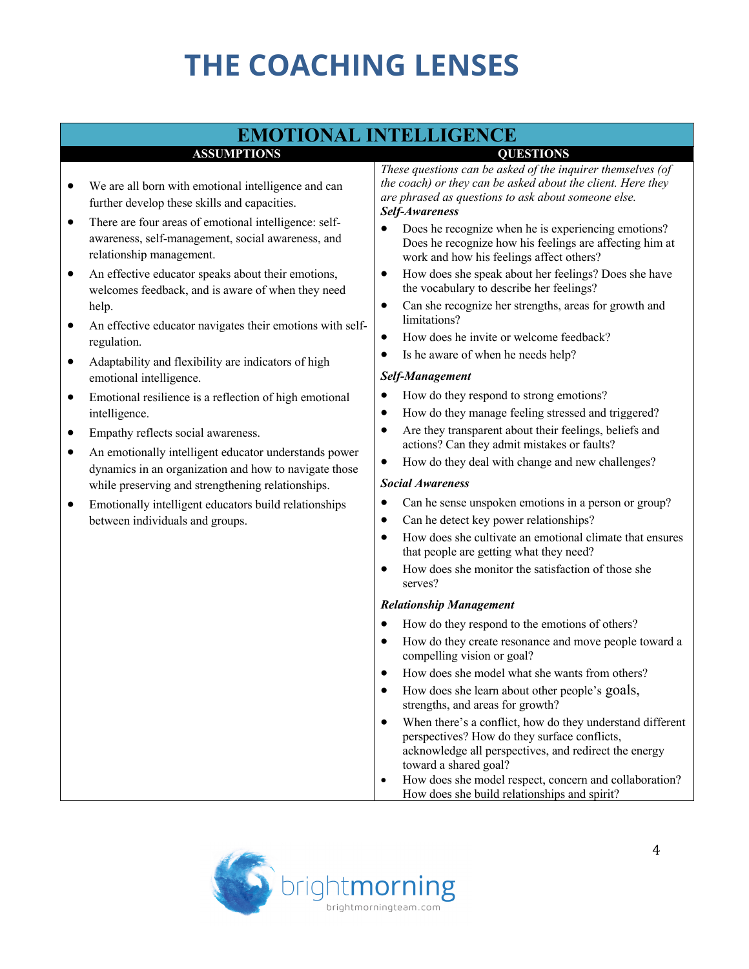### **EMOTIONAL INTELLIGENCE ASSUMPTIONS QUESTIONS**

- We are all born with emotional intelligence and can further develop these skills and capacities.
- There are four areas of emotional intelligence: selfawareness, self-management, social awareness, and relationship management.
- An effective educator speaks about their emotions, welcomes feedback, and is aware of when they need help.
- An effective educator navigates their emotions with selfregulation.
- Adaptability and flexibility are indicators of high emotional intelligence.
- Emotional resilience is a reflection of high emotional intelligence.
- Empathy reflects social awareness.
- An emotionally intelligent educator understands power dynamics in an organization and how to navigate those while preserving and strengthening relationships.
- Emotionally intelligent educators build relationships between individuals and groups.

*These questions can be asked of the inquirer themselves (of the coach) or they can be asked about the client. Here they are phrased as questions to ask about someone else. Self-Awareness*

- Does he recognize when he is experiencing emotions? Does he recognize how his feelings are affecting him at work and how his feelings affect others?
- How does she speak about her feelings? Does she have the vocabulary to describe her feelings?
- Can she recognize her strengths, areas for growth and limitations?
- How does he invite or welcome feedback?
- Is he aware of when he needs help?

### *Self-Management*

- How do they respond to strong emotions?
- How do they manage feeling stressed and triggered?
- Are they transparent about their feelings, beliefs and actions? Can they admit mistakes or faults?
- How do they deal with change and new challenges?

### *Social Awareness*

- Can he sense unspoken emotions in a person or group?
- Can he detect key power relationships?
- How does she cultivate an emotional climate that ensures that people are getting what they need?
- How does she monitor the satisfaction of those she serves?

### *Relationship Management*

- How do they respond to the emotions of others?
- How do they create resonance and move people toward a compelling vision or goal?
- How does she model what she wants from others?
- How does she learn about other people's goals, strengths, and areas for growth?
- When there's a conflict, how do they understand different perspectives? How do they surface conflicts, acknowledge all perspectives, and redirect the energy toward a shared goal?
- How does she model respect, concern and collaboration? How does she build relationships and spirit?

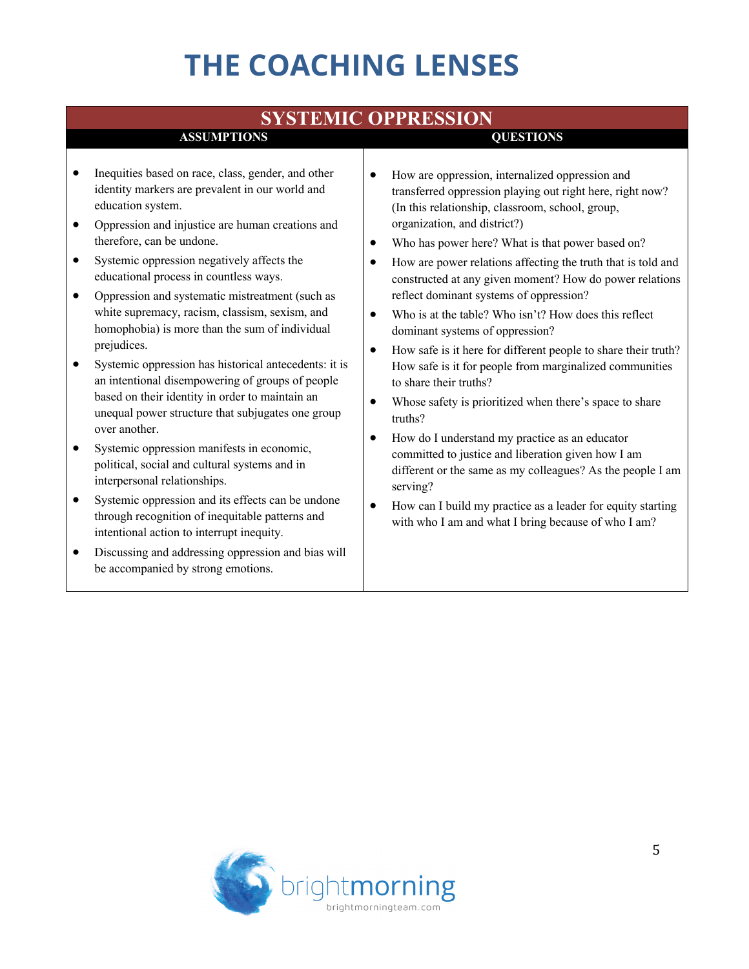## **SYSTEMIC OPPRESSION**

### **ASSUMPTIONS QUESTIONS** • Inequities based on race, class, gender, and other identity markers are prevalent in our world and education system. • Oppression and injustice are human creations and therefore, can be undone. • Systemic oppression negatively affects the educational process in countless ways. • Oppression and systematic mistreatment (such as white supremacy, racism, classism, sexism, and homophobia) is more than the sum of individual prejudices. • Systemic oppression has historical antecedents: it is an intentional disempowering of groups of people based on their identity in order to maintain an unequal power structure that subjugates one group over another. • Systemic oppression manifests in economic, political, social and cultural systems and in interpersonal relationships. • Systemic oppression and its effects can be undone through recognition of inequitable patterns and intentional action to interrupt inequity. • Discussing and addressing oppression and bias will be accompanied by strong emotions. • How are oppression, internalized oppression and transferred oppression playing out right here, right now? (In this relationship, classroom, school, group, organization, and district?) Who has power here? What is that power based on? • How are power relations affecting the truth that is told and constructed at any given moment? How do power relations reflect dominant systems of oppression? • Who is at the table? Who isn't? How does this reflect dominant systems of oppression? How safe is it here for different people to share their truth? How safe is it for people from marginalized communities to share their truths? Whose safety is prioritized when there's space to share truths? • How do I understand my practice as an educator committed to justice and liberation given how I am different or the same as my colleagues? As the people I am serving? • How can I build my practice as a leader for equity starting with who I am and what I bring because of who I am?

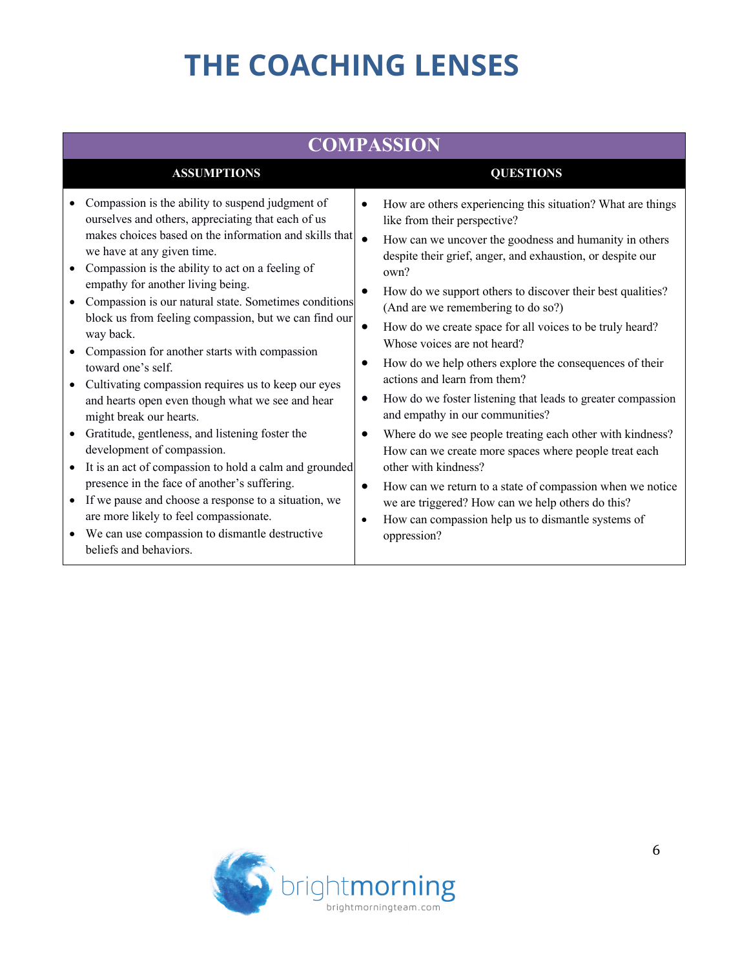| <b>COMPASSION</b> |  |
|-------------------|--|
|                   |  |

| Compassion is the ability to suspend judgment of<br>How are others experiencing this situation? What are things<br>$\bullet$<br>ourselves and others, appreciating that each of us<br>like from their perspective?<br>makes choices based on the information and skills that<br>$\bullet$<br>How can we uncover the goodness and humanity in others<br>we have at any given time.<br>despite their grief, anger, and exhaustion, or despite our<br>Compassion is the ability to act on a feeling of<br>$\bullet$<br>own?<br>empathy for another living being.<br>How do we support others to discover their best qualities?<br>٠<br>Compassion is our natural state. Sometimes conditions<br>$\bullet$<br>(And are we remembering to do so?)<br>block us from feeling compassion, but we can find our<br>How do we create space for all voices to be truly heard?<br>$\bullet$<br>way back.<br>Whose voices are not heard?<br>Compassion for another starts with compassion<br>How do we help others explore the consequences of their<br>٠<br>toward one's self.<br>actions and learn from them?<br>Cultivating compassion requires us to keep our eyes<br>$\bullet$<br>How do we foster listening that leads to greater compassion<br>and hearts open even though what we see and hear<br>and empathy in our communities?<br>might break our hearts.<br>Gratitude, gentleness, and listening foster the<br>Where do we see people treating each other with kindness?<br>$\bullet$<br>development of compassion.<br>How can we create more spaces where people treat each<br>other with kindness?<br>It is an act of compassion to hold a calm and grounded<br>$\bullet$ | <b>ASSUMPTIONS</b>                           | <b>QUESTIONS</b>                                          |
|---------------------------------------------------------------------------------------------------------------------------------------------------------------------------------------------------------------------------------------------------------------------------------------------------------------------------------------------------------------------------------------------------------------------------------------------------------------------------------------------------------------------------------------------------------------------------------------------------------------------------------------------------------------------------------------------------------------------------------------------------------------------------------------------------------------------------------------------------------------------------------------------------------------------------------------------------------------------------------------------------------------------------------------------------------------------------------------------------------------------------------------------------------------------------------------------------------------------------------------------------------------------------------------------------------------------------------------------------------------------------------------------------------------------------------------------------------------------------------------------------------------------------------------------------------------------------------------------------------------------------------------------------------------------------|----------------------------------------------|-----------------------------------------------------------|
| $\bullet$<br>If we pause and choose a response to a situation, we<br>$\bullet$<br>we are triggered? How can we help others do this?<br>are more likely to feel compassionate.<br>How can compassion help us to dismantle systems of<br>$\bullet$<br>We can use compassion to dismantle destructive<br>oppression?<br>beliefs and behaviors.                                                                                                                                                                                                                                                                                                                                                                                                                                                                                                                                                                                                                                                                                                                                                                                                                                                                                                                                                                                                                                                                                                                                                                                                                                                                                                                               | presence in the face of another's suffering. | How can we return to a state of compassion when we notice |